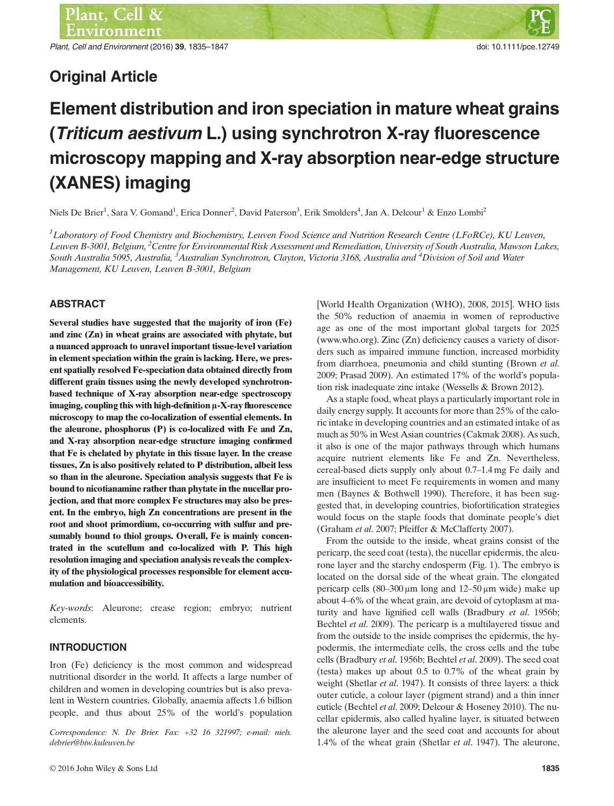Plant, Cell and Environment (2016) 39, 1835–1847 doi: 10.1111/pce.12749

# Original Article

# Element distribution and iron speciation in mature wheat grains (Triticum aestivum L.) using synchrotron X-ray fluorescence microscopy mapping and X-ray absorption near-edge structure (XANES) imaging

Niels De Brier<sup>1</sup>, Sara V. Gomand<sup>1</sup>, Erica Donner<sup>2</sup>, David Paterson<sup>3</sup>, Erik Smolders<sup>4</sup>, Jan A. Delcour<sup>1</sup> & Enzo Lombi<sup>2</sup>

<sup>1</sup>Laboratory of Food Chemistry and Biochemistry, Leuven Food Science and Nutrition Research Centre (LFoRCe), KU Leuven, Leuven B-3001, Belgium, <sup>2</sup> Centre for Environmental Risk Assessment and Remediation, University of South Australia, Mawson Lakes, South Australia 5095, Australia, <sup>3</sup>Australian Synchrotron, Clayton, Victoria 3168, Australia and <sup>4</sup>Division of Soil and Water Management, KU Leuven, Leuven B-3001, Belgium

# ABSTRACT

Several studies have suggested that the majority of iron (Fe) and zinc (Zn) in wheat grains are associated with phytate, but a nuanced approach to unravel important tissue-level variation in element speciation within the grain is lacking. Here, we present spatially resolved Fe-speciation data obtained directly from different grain tissues using the newly developed synchrotronbased technique of X-ray absorption near-edge spectroscopy imaging, coupling this with high-definition μ-X-ray fluorescence microscopy to map the co-localization of essential elements. In the aleurone, phosphorus (P) is co-localized with Fe and Zn, and X-ray absorption near-edge structure imaging confirmed that Fe is chelated by phytate in this tissue layer. In the crease tissues, Zn is also positively related to P distribution, albeit less so than in the aleurone. Speciation analysis suggests that Fe is bound to nicotianamine rather than phytate in the nucellar projection, and that more complex Fe structures may also be present. In the embryo, high Zn concentrations are present in the root and shoot primordium, co-occurring with sulfur and presumably bound to thiol groups. Overall, Fe is mainly concentrated in the scutellum and co-localized with P. This high resolution imaging and speciation analysis reveals the complexity of the physiological processes responsible for element accumulation and bioaccessibility.

Key-words: Aleurone; crease region; embryo; nutrient elements.

# INTRODUCTION

Iron (Fe) deficiency is the most common and widespread nutritional disorder in the world. It affects a large number of children and women in developing countries but is also prevalent in Western countries. Globally, anaemia affects 1.6 billion people, and thus about 25% of the world's population

Correspondence: N. De Brier. Fax: +32 16 321997; e-mail: niels. debrier@biw.kuleuven.be

[World Health Organization (WHO), 2008, 2015]. WHO lists the 50% reduction of anaemia in women of reproductive age as one of the most important global targets for 2025 ([www.who.org](http://www.who.org)). Zinc (Zn) deficiency causes a variety of disorders such as impaired immune function, increased morbidity from diarrhoea, pneumonia and child stunting (Brown et al. 2009; Prasad 2009). An estimated 17% of the world's population risk inadequate zinc intake (Wessells & Brown 2012).

As a staple food, wheat plays a particularly important role in daily energy supply. It accounts for more than 25% of the caloric intake in developing countries and an estimated intake of as much as 50% in West Asian countries (Cakmak 2008). As such, it also is one of the major pathways through which humans acquire nutrient elements like Fe and Zn. Nevertheless, cereal-based diets supply only about 0.7–1.4 mg Fe daily and are insufficient to meet Fe requirements in women and many men (Baynes & Bothwell 1990). Therefore, it has been suggested that, in developing countries, biofortification strategies would focus on the staple foods that dominate people's diet (Graham et al. 2007; Pfeiffer & McClafferty 2007).

From the outside to the inside, wheat grains consist of the pericarp, the seed coat (testa), the nucellar epidermis, the aleurone layer and the starchy endosperm (Fig. 1). The embryo is located on the dorsal side of the wheat grain. The elongated pericarp cells (80–300 μm long and 12–50 μm wide) make up about 4–6% of the wheat grain, are devoid of cytoplasm at maturity and have lignified cell walls (Bradbury et al. 1956b; Bechtel et al. 2009). The pericarp is a multilayered tissue and from the outside to the inside comprises the epidermis, the hypodermis, the intermediate cells, the cross cells and the tube cells (Bradbury et al. 1956b; Bechtel et al. 2009). The seed coat (testa) makes up about 0.5 to 0.7% of the wheat grain by weight (Shetlar et al. 1947). It consists of three layers: a thick outer cuticle, a colour layer (pigment strand) and a thin inner cuticle (Bechtel et al. 2009; Delcour & Hoseney 2010). The nucellar epidermis, also called hyaline layer, is situated between the aleurone layer and the seed coat and accounts for about 1.4% of the wheat grain (Shetlar et al. 1947). The aleurone,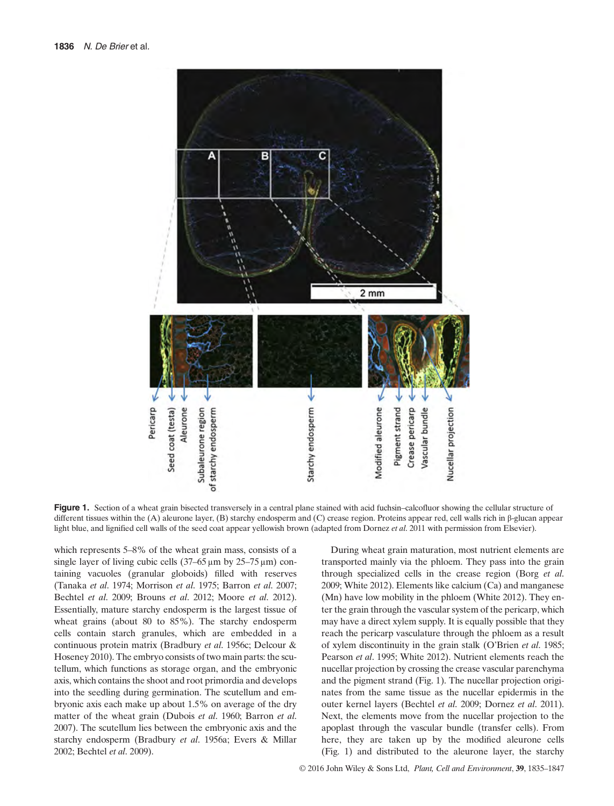

Figure 1. Section of a wheat grain bisected transversely in a central plane stained with acid fuchsin–calcofluor showing the cellular structure of different tissues within the (A) aleurone layer, (B) starchy endosperm and (C) crease region. Proteins appear red, cell walls rich in β-glucan appear light blue, and lignified cell walls of the seed coat appear yellowish brown (adapted from Dornez et al. 2011 with permission from Elsevier).

which represents 5–8% of the wheat grain mass, consists of a single layer of living cubic cells (37–65 μm by 25–75 μm) containing vacuoles (granular globoids) filled with reserves (Tanaka et al. 1974; Morrison et al. 1975; Barron et al. 2007; Bechtel et al. 2009; Brouns et al. 2012; Moore et al. 2012). Essentially, mature starchy endosperm is the largest tissue of wheat grains (about 80 to 85%). The starchy endosperm cells contain starch granules, which are embedded in a continuous protein matrix (Bradbury et al. 1956c; Delcour & Hoseney 2010). The embryo consists of two main parts: the scutellum, which functions as storage organ, and the embryonic axis, which contains the shoot and root primordia and develops into the seedling during germination. The scutellum and embryonic axis each make up about 1.5% on average of the dry matter of the wheat grain (Dubois et al. 1960; Barron et al. 2007). The scutellum lies between the embryonic axis and the starchy endosperm (Bradbury et al. 1956a; Evers & Millar 2002; Bechtel et al. 2009).

During wheat grain maturation, most nutrient elements are transported mainly via the phloem. They pass into the grain through specialized cells in the crease region (Borg et al. 2009; White 2012). Elements like calcium (Ca) and manganese (Mn) have low mobility in the phloem (White 2012). They enter the grain through the vascular system of the pericarp, which may have a direct xylem supply. It is equally possible that they reach the pericarp vasculature through the phloem as a result of xylem discontinuity in the grain stalk (O'Brien et al. 1985; Pearson et al. 1995; White 2012). Nutrient elements reach the nucellar projection by crossing the crease vascular parenchyma and the pigment strand (Fig. 1). The nucellar projection originates from the same tissue as the nucellar epidermis in the outer kernel layers (Bechtel et al. 2009; Dornez et al. 2011). Next, the elements move from the nucellar projection to the apoplast through the vascular bundle (transfer cells). From here, they are taken up by the modified aleurone cells (Fig. 1) and distributed to the aleurone layer, the starchy

© 2016 John Wiley & Sons Ltd, Plant, Cell and Environment, 39, 1835–1847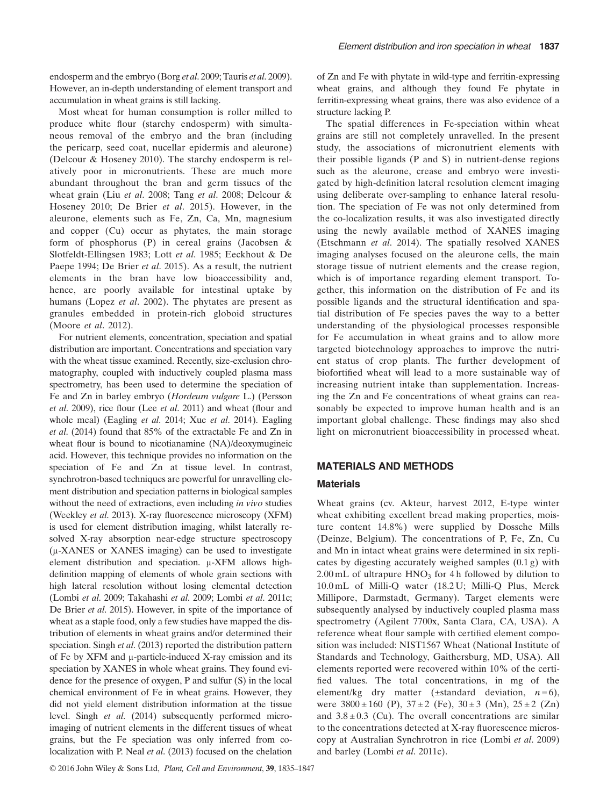endosperm and the embryo (Borg et al. 2009; Tauris et al. 2009). However, an in-depth understanding of element transport and accumulation in wheat grains is still lacking.

Most wheat for human consumption is roller milled to produce white flour (starchy endosperm) with simultaneous removal of the embryo and the bran (including the pericarp, seed coat, nucellar epidermis and aleurone) (Delcour & Hoseney 2010). The starchy endosperm is relatively poor in micronutrients. These are much more abundant throughout the bran and germ tissues of the wheat grain (Liu et al. 2008; Tang et al. 2008; Delcour & Hoseney 2010; De Brier et al. 2015). However, in the aleurone, elements such as Fe, Zn, Ca, Mn, magnesium and copper (Cu) occur as phytates, the main storage form of phosphorus (P) in cereal grains (Jacobsen & Slotfeldt-Ellingsen 1983; Lott et al. 1985; Eeckhout & De Paepe 1994; De Brier et al. 2015). As a result, the nutrient elements in the bran have low bioaccessibility and, hence, are poorly available for intestinal uptake by humans (Lopez et al. 2002). The phytates are present as granules embedded in protein-rich globoid structures (Moore et al. 2012).

For nutrient elements, concentration, speciation and spatial distribution are important. Concentrations and speciation vary with the wheat tissue examined. Recently, size-exclusion chromatography, coupled with inductively coupled plasma mass spectrometry, has been used to determine the speciation of Fe and Zn in barley embryo (Hordeum vulgare L.) (Persson et al. 2009), rice flour (Lee et al. 2011) and wheat (flour and whole meal) (Eagling et al. 2014; Xue et al. 2014). Eagling et al. (2014) found that 85% of the extractable Fe and Zn in wheat flour is bound to nicotianamine (NA)/deoxymugineic acid. However, this technique provides no information on the speciation of Fe and Zn at tissue level. In contrast, synchrotron-based techniques are powerful for unravelling element distribution and speciation patterns in biological samples without the need of extractions, even including in vivo studies (Weekley et al. 2013). X-ray fluorescence microscopy (XFM) is used for element distribution imaging, whilst laterally resolved X-ray absorption near-edge structure spectroscopy (μ-XANES or XANES imaging) can be used to investigate element distribution and speciation. μ-XFM allows highdefinition mapping of elements of whole grain sections with high lateral resolution without losing elemental detection (Lombi et al. 2009; Takahashi et al. 2009; Lombi et al. 2011c; De Brier *et al.* 2015). However, in spite of the importance of wheat as a staple food, only a few studies have mapped the distribution of elements in wheat grains and/or determined their speciation. Singh *et al.* (2013) reported the distribution pattern of Fe by XFM and μ-particle-induced X-ray emission and its speciation by XANES in whole wheat grains. They found evidence for the presence of oxygen, P and sulfur (S) in the local chemical environment of Fe in wheat grains. However, they did not yield element distribution information at the tissue level. Singh et al. (2014) subsequently performed microimaging of nutrient elements in the different tissues of wheat grains, but the Fe speciation was only inferred from colocalization with P. Neal et al. (2013) focused on the chelation

© 2016 John Wiley & Sons Ltd, Plant, Cell and Environment, 39, 1835–1847

of Zn and Fe with phytate in wild-type and ferritin-expressing wheat grains, and although they found Fe phytate in ferritin-expressing wheat grains, there was also evidence of a structure lacking P.

The spatial differences in Fe-speciation within wheat grains are still not completely unravelled. In the present study, the associations of micronutrient elements with their possible ligands (P and S) in nutrient-dense regions such as the aleurone, crease and embryo were investigated by high-definition lateral resolution element imaging using deliberate over-sampling to enhance lateral resolution. The speciation of Fe was not only determined from the co-localization results, it was also investigated directly using the newly available method of XANES imaging (Etschmann et al. 2014). The spatially resolved XANES imaging analyses focused on the aleurone cells, the main storage tissue of nutrient elements and the crease region, which is of importance regarding element transport. Together, this information on the distribution of Fe and its possible ligands and the structural identification and spatial distribution of Fe species paves the way to a better understanding of the physiological processes responsible for Fe accumulation in wheat grains and to allow more targeted biotechnology approaches to improve the nutrient status of crop plants. The further development of biofortified wheat will lead to a more sustainable way of increasing nutrient intake than supplementation. Increasing the Zn and Fe concentrations of wheat grains can reasonably be expected to improve human health and is an important global challenge. These findings may also shed light on micronutrient bioaccessibility in processed wheat.

# MATERIALS AND METHODS

#### **Materials**

Wheat grains (cv. Akteur, harvest 2012, E-type winter wheat exhibiting excellent bread making properties, moisture content 14.8%) were supplied by Dossche Mills (Deinze, Belgium). The concentrations of P, Fe, Zn, Cu and Mn in intact wheat grains were determined in six replicates by digesting accurately weighed samples (0.1 g) with  $2.00 \text{ mL}$  of ultrapure  $HNO<sub>3</sub>$  for 4 h followed by dilution to 10.0 mL of Milli-Q water (18.2 U; Milli-Q Plus, Merck Millipore, Darmstadt, Germany). Target elements were subsequently analysed by inductively coupled plasma mass spectrometry (Agilent 7700x, Santa Clara, CA, USA). A reference wheat flour sample with certified element composition was included: NIST1567 Wheat (National Institute of Standards and Technology, Gaithersburg, MD, USA). All elements reported were recovered within 10% of the certified values. The total concentrations, in mg of the element/kg dry matter ( $\pm$ standard deviation,  $n = 6$ ), were  $3800 \pm 160$  (P),  $37 \pm 2$  (Fe),  $30 \pm 3$  (Mn),  $25 \pm 2$  (Zn) and  $3.8 \pm 0.3$  (Cu). The overall concentrations are similar to the concentrations detected at X-ray fluorescence microscopy at Australian Synchrotron in rice (Lombi et al. 2009) and barley (Lombi et al. 2011c).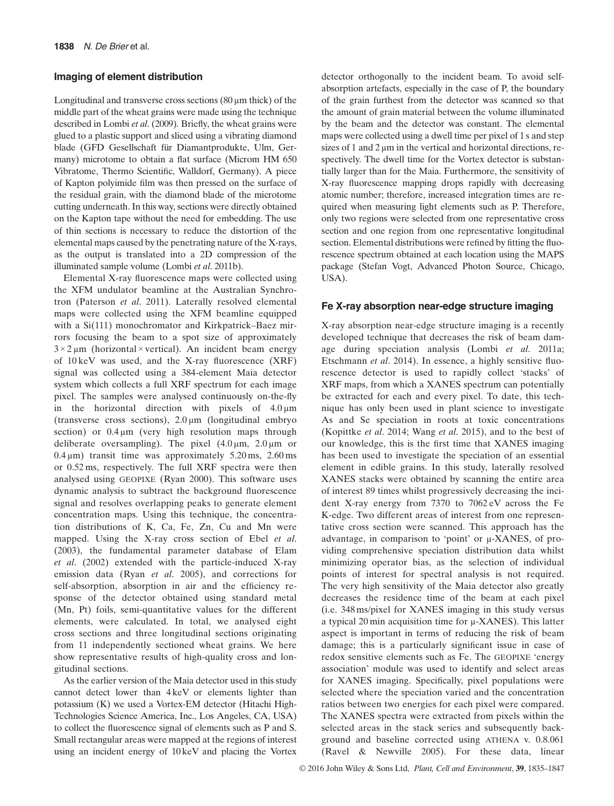#### Imaging of element distribution

Longitudinal and transverse cross sections  $(80 \,\mu m)$  thick) of the middle part of the wheat grains were made using the technique described in Lombi et al. (2009). Briefly, the wheat grains were glued to a plastic support and sliced using a vibrating diamond blade (GFD Gesellschaft für Diamantprodukte, Ulm, Germany) microtome to obtain a flat surface (Microm HM 650 Vibratome, Thermo Scientific, Walldorf, Germany). A piece of Kapton polyimide film was then pressed on the surface of the residual grain, with the diamond blade of the microtome cutting underneath. In this way, sections were directly obtained on the Kapton tape without the need for embedding. The use of thin sections is necessary to reduce the distortion of the elemental maps caused by the penetrating nature of the X-rays, as the output is translated into a 2D compression of the illuminated sample volume (Lombi et al. 2011b).

Elemental X-ray fluorescence maps were collected using the XFM undulator beamline at the Australian Synchrotron (Paterson et al. 2011). Laterally resolved elemental maps were collected using the XFM beamline equipped with a Si(111) monochromator and Kirkpatrick–Baez mirrors focusing the beam to a spot size of approximately  $3 \times 2 \mu$ m (horizontal × vertical). An incident beam energy of 10 keV was used, and the X-ray fluorescence (XRF) signal was collected using a 384-element Maia detector system which collects a full XRF spectrum for each image pixel. The samples were analysed continuously on-the-fly in the horizontal direction with pixels of 4.0 μm (transverse cross sections), 2.0 μm (longitudinal embryo section) or  $0.4 \mu m$  (very high resolution maps through deliberate oversampling). The pixel  $(4.0 \,\mu\text{m}, 2.0 \,\mu\text{m})$  or  $0.4 \,\mu\text{m}$ ) transit time was approximately  $5.20 \,\text{ms}$ ,  $2.60 \,\text{ms}$ or 0.52 ms, respectively. The full XRF spectra were then analysed using GEOPIXE (Ryan 2000). This software uses dynamic analysis to subtract the background fluorescence signal and resolves overlapping peaks to generate element concentration maps. Using this technique, the concentration distributions of K, Ca, Fe, Zn, Cu and Mn were mapped. Using the X-ray cross section of Ebel et al. (2003), the fundamental parameter database of Elam et al. (2002) extended with the particle-induced X-ray emission data (Ryan et al. 2005), and corrections for self-absorption, absorption in air and the efficiency response of the detector obtained using standard metal (Mn, Pt) foils, semi-quantitative values for the different elements, were calculated. In total, we analysed eight cross sections and three longitudinal sections originating from 11 independently sectioned wheat grains. We here show representative results of high-quality cross and longitudinal sections.

As the earlier version of the Maia detector used in this study cannot detect lower than 4 keV or elements lighter than potassium (K) we used a Vortex-EM detector (Hitachi High-Technologies Science America, Inc., Los Angeles, CA, USA) to collect the fluorescence signal of elements such as P and S. Small rectangular areas were mapped at the regions of interest using an incident energy of 10 keV and placing the Vortex detector orthogonally to the incident beam. To avoid selfabsorption artefacts, especially in the case of P, the boundary of the grain furthest from the detector was scanned so that the amount of grain material between the volume illuminated by the beam and the detector was constant. The elemental maps were collected using a dwell time per pixel of 1 s and step sizes of 1 and 2 um in the vertical and horizontal directions, respectively. The dwell time for the Vortex detector is substantially larger than for the Maia. Furthermore, the sensitivity of X-ray fluorescence mapping drops rapidly with decreasing atomic number; therefore, increased integration times are required when measuring light elements such as P. Therefore, only two regions were selected from one representative cross section and one region from one representative longitudinal section. Elemental distributions were refined by fitting the fluorescence spectrum obtained at each location using the MAPS package (Stefan Vogt, Advanced Photon Source, Chicago, USA).

#### Fe X-ray absorption near-edge structure imaging

X-ray absorption near-edge structure imaging is a recently developed technique that decreases the risk of beam damage during speciation analysis (Lombi et al. 2011a; Etschmann et al. 2014). In essence, a highly sensitive fluorescence detector is used to rapidly collect 'stacks' of XRF maps, from which a XANES spectrum can potentially be extracted for each and every pixel. To date, this technique has only been used in plant science to investigate As and Se speciation in roots at toxic concentrations (Kopittke et al. 2014; Wang et al. 2015), and to the best of our knowledge, this is the first time that XANES imaging has been used to investigate the speciation of an essential element in edible grains. In this study, laterally resolved XANES stacks were obtained by scanning the entire area of interest 89 times whilst progressively decreasing the incident X-ray energy from 7370 to 7062 eV across the Fe K-edge. Two different areas of interest from one representative cross section were scanned. This approach has the advantage, in comparison to 'point' or μ-XANES, of providing comprehensive speciation distribution data whilst minimizing operator bias, as the selection of individual points of interest for spectral analysis is not required. The very high sensitivity of the Maia detector also greatly decreases the residence time of the beam at each pixel (i.e. 348 ms/pixel for XANES imaging in this study versus a typical 20 min acquisition time for μ-XANES). This latter aspect is important in terms of reducing the risk of beam damage; this is a particularly significant issue in case of redox sensitive elements such as Fe. The GEOPIXE 'energy association' module was used to identify and select areas for XANES imaging. Specifically, pixel populations were selected where the speciation varied and the concentration ratios between two energies for each pixel were compared. The XANES spectra were extracted from pixels within the selected areas in the stack series and subsequently background and baseline corrected using ATHENA v. 0.8.061 (Ravel & Newville 2005). For these data, linear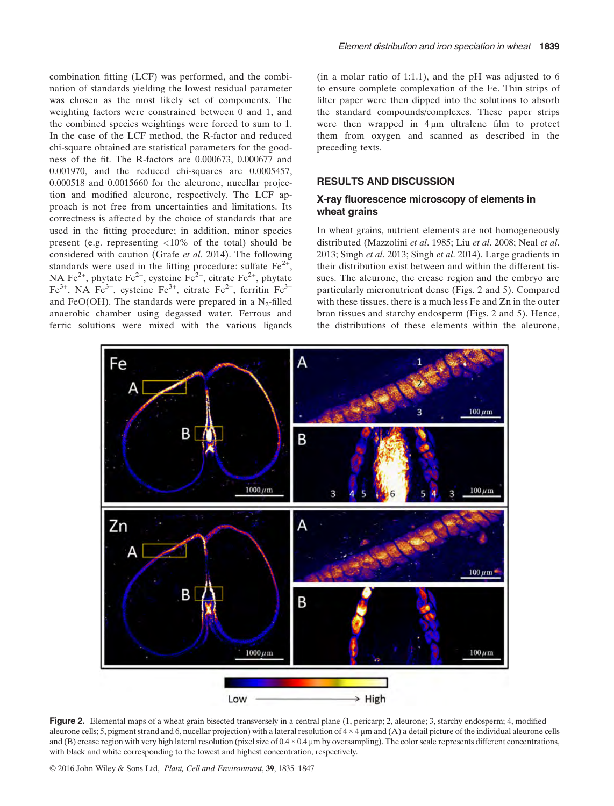combination fitting (LCF) was performed, and the combination of standards yielding the lowest residual parameter was chosen as the most likely set of components. The weighting factors were constrained between 0 and 1, and the combined species weightings were forced to sum to 1. In the case of the LCF method, the R-factor and reduced chi-square obtained are statistical parameters for the goodness of the fit. The R-factors are 0.000673, 0.000677 and 0.001970, and the reduced chi-squares are 0.0005457, 0.000518 and 0.0015660 for the aleurone, nucellar projection and modified aleurone, respectively. The LCF approach is not free from uncertainties and limitations. Its correctness is affected by the choice of standards that are used in the fitting procedure; in addition, minor species present (e.g. representing <10% of the total) should be considered with caution (Grafe et al. 2014). The following standards were used in the fitting procedure: sulfate  $Fe^{2+}$ , NA Fe<sup>2+</sup>, phytate Fe<sup>2+</sup>, cysteine Fe<sup>2+</sup>, citrate Fe<sup>2+</sup>, phytate  $Fe^{3+}$ , NA  $Fe^{3+}$ , cysteine  $Fe^{3+}$ , citrate  $Fe^{2+}$ , ferritin  $Fe^{3+}$ and FeO(OH). The standards were prepared in a  $N_2$ -filled anaerobic chamber using degassed water. Ferrous and ferric solutions were mixed with the various ligands (in a molar ratio of 1:1.1), and the  $pH$  was adjusted to 6 to ensure complete complexation of the Fe. Thin strips of filter paper were then dipped into the solutions to absorb the standard compounds/complexes. These paper strips were then wrapped in 4 μm ultralene film to protect them from oxygen and scanned as described in the preceding texts.

# RESULTS AND DISCUSSION

# X-ray fluorescence microscopy of elements in wheat grains

In wheat grains, nutrient elements are not homogeneously distributed (Mazzolini et al. 1985; Liu et al. 2008; Neal et al. 2013; Singh et al. 2013; Singh et al. 2014). Large gradients in their distribution exist between and within the different tissues. The aleurone, the crease region and the embryo are particularly micronutrient dense (Figs. 2 and 5). Compared with these tissues, there is a much less Fe and Zn in the outer bran tissues and starchy endosperm (Figs. 2 and 5). Hence, the distributions of these elements within the aleurone,



Figure 2. Elemental maps of a wheat grain bisected transversely in a central plane  $(1,$  pericarp; 2, aleurone; 3, starchy endosperm; 4, modified aleurone cells; 5, pigment strand and 6, nucellar projection) with a lateral resolution of  $4 \times 4 \mu$ m and (A) a detail picture of the individual aleurone cells and (B) crease region with very high lateral resolution (pixel size of  $0.4 \times 0.4$  µm by oversampling). The color scale represents different concentrations, with black and white corresponding to the lowest and highest concentration, respectively.

© 2016 John Wiley & Sons Ltd, Plant, Cell and Environment, 39, 1835–1847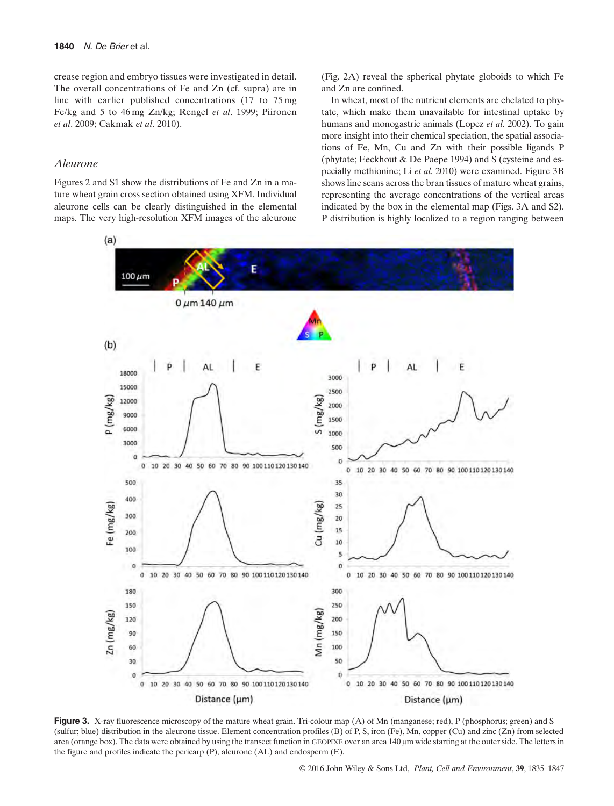crease region and embryo tissues were investigated in detail. The overall concentrations of Fe and Zn (cf. supra) are in line with earlier published concentrations (17 to 75 mg Fe/kg and 5 to 46 mg Zn/kg; Rengel et al. 1999; Piironen et al. 2009; Cakmak et al. 2010).

#### Aleurone

Figures 2 and S1 show the distributions of Fe and Zn in a mature wheat grain cross section obtained using XFM. Individual aleurone cells can be clearly distinguished in the elemental maps. The very high-resolution XFM images of the aleurone (Fig. 2A) reveal the spherical phytate globoids to which Fe and Zn are confined.

In wheat, most of the nutrient elements are chelated to phytate, which make them unavailable for intestinal uptake by humans and monogastric animals (Lopez et al. 2002). To gain more insight into their chemical speciation, the spatial associations of Fe, Mn, Cu and Zn with their possible ligands P (phytate; Eeckhout & De Paepe 1994) and S (cysteine and especially methionine; Li et al. 2010) were examined. Figure 3B shows line scans across the bran tissues of mature wheat grains, representing the average concentrations of the vertical areas indicated by the box in the elemental map (Figs. 3A and S2). P distribution is highly localized to a region ranging between



Figure 3. X-ray fluorescence microscopy of the mature wheat grain. Tri-colour map (A) of Mn (manganese; red), P (phosphorus; green) and S (sulfur; blue) distribution in the aleurone tissue. Element concentration profiles (B) of P, S, iron (Fe), Mn, copper (Cu) and zinc (Zn) from selected area (orange box). The data were obtained by using the transect function in GEOPIXE over an area 140 μm wide starting at the outer side. The letters in the figure and profiles indicate the pericarp (P), aleurone (AL) and endosperm (E).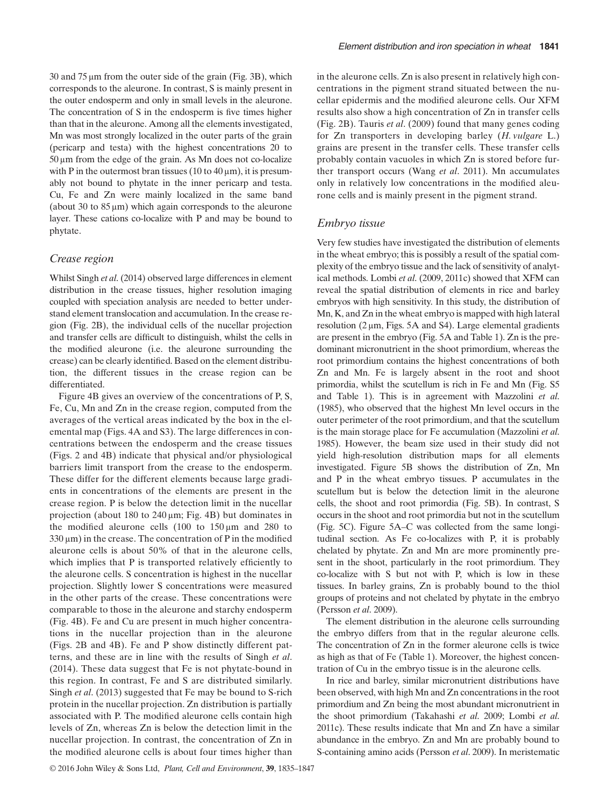30 and 75 μm from the outer side of the grain (Fig. 3B), which corresponds to the aleurone. In contrast, S is mainly present in the outer endosperm and only in small levels in the aleurone. The concentration of S in the endosperm is five times higher than that in the aleurone. Among all the elements investigated, Mn was most strongly localized in the outer parts of the grain (pericarp and testa) with the highest concentrations 20 to 50 μm from the edge of the grain. As Mn does not co-localize with P in the outermost bran tissues  $(10 \text{ to } 40 \text{ µm})$ , it is presumably not bound to phytate in the inner pericarp and testa. Cu, Fe and Zn were mainly localized in the same band (about 30 to  $85 \mu m$ ) which again corresponds to the aleurone layer. These cations co-localize with P and may be bound to phytate.

### Crease region

Whilst Singh et al. (2014) observed large differences in element distribution in the crease tissues, higher resolution imaging coupled with speciation analysis are needed to better understand element translocation and accumulation. In the crease region (Fig. 2B), the individual cells of the nucellar projection and transfer cells are difficult to distinguish, whilst the cells in the modified aleurone (i.e. the aleurone surrounding the crease) can be clearly identified. Based on the element distribution, the different tissues in the crease region can be differentiated.

Figure 4B gives an overview of the concentrations of P, S, Fe, Cu, Mn and Zn in the crease region, computed from the averages of the vertical areas indicated by the box in the elemental map (Figs. 4A and S3). The large differences in concentrations between the endosperm and the crease tissues (Figs. 2 and 4B) indicate that physical and/or physiological barriers limit transport from the crease to the endosperm. These differ for the different elements because large gradients in concentrations of the elements are present in the crease region. P is below the detection limit in the nucellar projection (about 180 to 240 μm; Fig. 4B) but dominates in the modified aleurone cells (100 to 150 μm and 280 to 330 μm) in the crease. The concentration of P in the modified aleurone cells is about 50% of that in the aleurone cells, which implies that P is transported relatively efficiently to the aleurone cells. S concentration is highest in the nucellar projection. Slightly lower S concentrations were measured in the other parts of the crease. These concentrations were comparable to those in the aleurone and starchy endosperm (Fig. 4B). Fe and Cu are present in much higher concentrations in the nucellar projection than in the aleurone (Figs. 2B and 4B). Fe and P show distinctly different patterns, and these are in line with the results of Singh et al. (2014). These data suggest that Fe is not phytate-bound in this region. In contrast, Fe and S are distributed similarly. Singh et al. (2013) suggested that Fe may be bound to S-rich protein in the nucellar projection. Zn distribution is partially associated with P. The modified aleurone cells contain high levels of Zn, whereas Zn is below the detection limit in the nucellar projection. In contrast, the concentration of Zn in the modified aleurone cells is about four times higher than

Embryo tissue

ical methods. Lombi et al. (2009, 2011c) showed that XFM can reveal the spatial distribution of elements in rice and barley embryos with high sensitivity. In this study, the distribution of Mn, K, and Zn in the wheat embryo is mapped with high lateral resolution (2 μm, Figs. 5A and S4). Large elemental gradients are present in the embryo (Fig. 5A and Table 1). Zn is the predominant micronutrient in the shoot primordium, whereas the root primordium contains the highest concentrations of both Zn and Mn. Fe is largely absent in the root and shoot primordia, whilst the scutellum is rich in Fe and Mn (Fig. S5 and Table 1). This is in agreement with Mazzolini et al. (1985), who observed that the highest Mn level occurs in the outer perimeter of the root primordium, and that the scutellum is the main storage place for Fe accumulation (Mazzolini et al. 1985). However, the beam size used in their study did not yield high-resolution distribution maps for all elements investigated. Figure 5B shows the distribution of Zn, Mn and P in the wheat embryo tissues. P accumulates in the scutellum but is below the detection limit in the aleurone cells, the shoot and root primordia (Fig. 5B). In contrast, S occurs in the shoot and root primordia but not in the scutellum (Fig. 5C). Figure 5A–C was collected from the same longitudinal section. As Fe co-localizes with P, it is probably chelated by phytate. Zn and Mn are more prominently present in the shoot, particularly in the root primordium. They co-localize with S but not with P, which is low in these tissues. In barley grains, Zn is probably bound to the thiol groups of proteins and not chelated by phytate in the embryo (Persson et al. 2009).

The element distribution in the aleurone cells surrounding the embryo differs from that in the regular aleurone cells. The concentration of Zn in the former aleurone cells is twice as high as that of Fe (Table 1). Moreover, the highest concentration of Cu in the embryo tissue is in the aleurone cells.

In rice and barley, similar micronutrient distributions have been observed, with high Mn and Zn concentrations in the root primordium and Zn being the most abundant micronutrient in the shoot primordium (Takahashi et al. 2009; Lombi et al. 2011c). These results indicate that Mn and Zn have a similar abundance in the embryo. Zn and Mn are probably bound to S-containing amino acids (Persson et al. 2009). In meristematic

in the aleurone cells. Zn is also present in relatively high concentrations in the pigment strand situated between the nucellar epidermis and the modified aleurone cells. Our XFM results also show a high concentration of Zn in transfer cells (Fig. 2B). Tauris et al. (2009) found that many genes coding for Zn transporters in developing barley (H. vulgare L.) grains are present in the transfer cells. These transfer cells probably contain vacuoles in which Zn is stored before further transport occurs (Wang et al. 2011). Mn accumulates only in relatively low concentrations in the modified aleurone cells and is mainly present in the pigment strand.

Very few studies have investigated the distribution of elements in the wheat embryo; this is possibly a result of the spatial complexity of the embryo tissue and the lack of sensitivity of analyt-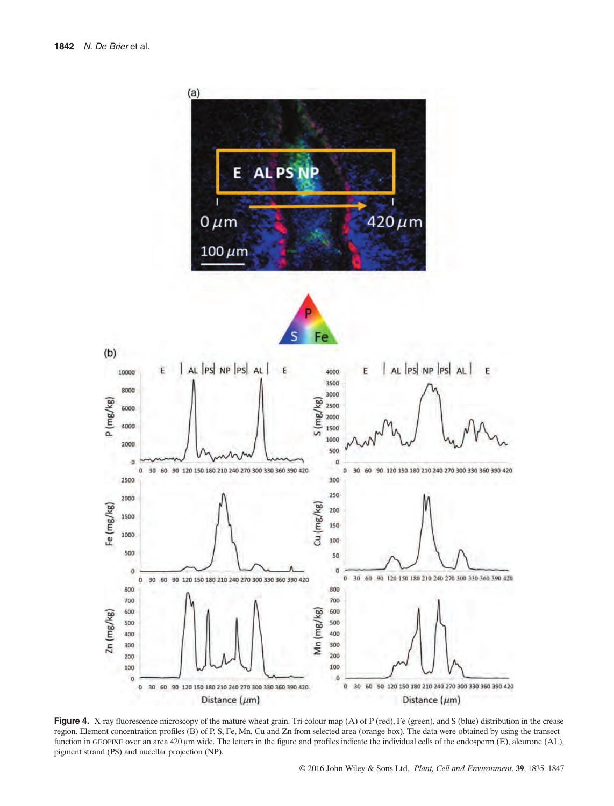

Figure 4. X-ray fluorescence microscopy of the mature wheat grain. Tri-colour map (A) of P (red), Fe (green), and S (blue) distribution in the crease region. Element concentration profiles (B) of P, S, Fe, Mn, Cu and Zn from selected area (orange box). The data were obtained by using the transect function in GEOPIXE over an area 420 μm wide. The letters in the figure and profiles indicate the individual cells of the endosperm (E), aleurone (AL), pigment strand (PS) and nucellar projection (NP).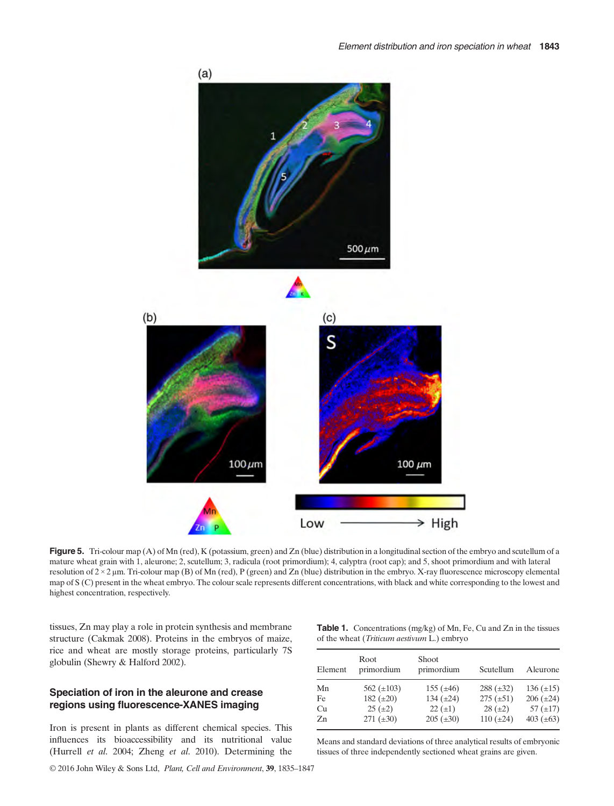

Figure 5. Tri-colour map (A) of Mn (red), K (potassium, green) and Zn (blue) distribution in a longitudinal section of the embryo and scutellum of a mature wheat grain with 1, aleurone; 2, scutellum; 3, radicula (root primordium); 4, calyptra (root cap); and 5, shoot primordium and with lateral resolution of 2 × 2 μm. Tri-colour map (B) of Mn (red), P (green) and Zn (blue) distribution in the embryo. X-ray fluorescence microscopy elemental map of S (C) present in the wheat embryo. The colour scale represents different concentrations, with black and white corresponding to the lowest and highest concentration, respectively.

tissues, Zn may play a role in protein synthesis and membrane structure (Cakmak 2008). Proteins in the embryos of maize, rice and wheat are mostly storage proteins, particularly 7S globulin (Shewry & Halford 2002).

# Speciation of iron in the aleurone and crease regions using fluorescence-XANES imaging

Iron is present in plants as different chemical species. This influences its bioaccessibility and its nutritional value (Hurrell et al. 2004; Zheng et al. 2010). Determining the

| <b>Table 1.</b> Concentrations (mg/kg) of Mn, Fe, Cu and Zn in the tissues |  |  |  |
|----------------------------------------------------------------------------|--|--|--|
| of the wheat <i>(Triticum aestivum L.)</i> embryo                          |  |  |  |

| Element | Root<br>primordium | <b>Shoot</b><br>primordium | Scutellum      | Aleurone       |
|---------|--------------------|----------------------------|----------------|----------------|
| Mn      | 562 $(\pm 103)$    | 155 $(\pm 46)$             | $288 (\pm 32)$ | $136 (\pm 15)$ |
| Fe      | 182 $(\pm 20)$     | 134 $(\pm 24)$             | $275 (\pm 51)$ | $206 (\pm 24)$ |
| Cu      | $25 (\pm 2)$       | $22(+1)$                   | $28 (\pm 2)$   | 57 $(\pm 17)$  |
| Zn      | $271 (\pm 30)$     | $205 (+30)$                | 110 $(\pm 24)$ | 403 $(\pm 63)$ |

Means and standard deviations of three analytical results of embryonic tissues of three independently sectioned wheat grains are given.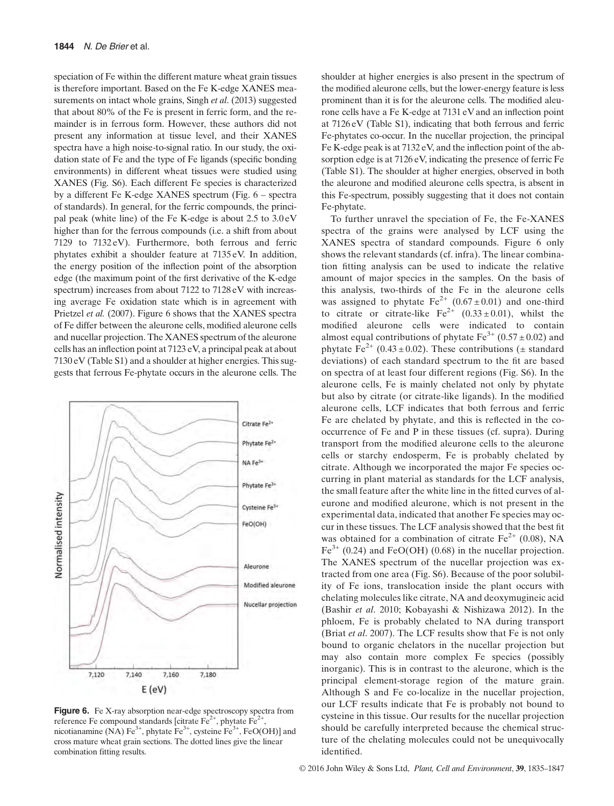speciation of Fe within the different mature wheat grain tissues is therefore important. Based on the Fe K-edge XANES measurements on intact whole grains, Singh et al. (2013) suggested that about 80% of the Fe is present in ferric form, and the remainder is in ferrous form. However, these authors did not present any information at tissue level, and their XANES spectra have a high noise-to-signal ratio. In our study, the oxidation state of Fe and the type of Fe ligands (specific bonding environments) in different wheat tissues were studied using XANES (Fig. S6). Each different Fe species is characterized by a different Fe K-edge XANES spectrum (Fig. 6 – spectra of standards). In general, for the ferric compounds, the principal peak (white line) of the Fe K-edge is about 2.5 to 3.0 eV higher than for the ferrous compounds (i.e. a shift from about 7129 to 7132 eV). Furthermore, both ferrous and ferric phytates exhibit a shoulder feature at 7135 eV. In addition, the energy position of the inflection point of the absorption edge (the maximum point of the first derivative of the K-edge spectrum) increases from about 7122 to 7128 eV with increasing average Fe oxidation state which is in agreement with Prietzel et al. (2007). Figure 6 shows that the XANES spectra of Fe differ between the aleurone cells, modified aleurone cells and nucellar projection. The XANES spectrum of the aleurone cells has an inflection point at 7123 eV, a principal peak at about 7130 eV (Table S1) and a shoulder at higher energies. This suggests that ferrous Fe-phytate occurs in the aleurone cells. The



Figure 6. Fe X-ray absorption near-edge spectroscopy spectra from reference Fe compound standards [citrate  $Fe^{2+}$ , phytate  $Fe^{2+}$ nicotianamine (NA)  $Fe^{3+}$ , phytate  $Fe^{3+}$ , cysteine  $Fe^{3+}$ , FeO(OH)] and cross mature wheat grain sections. The dotted lines give the linear combination fitting results.

shoulder at higher energies is also present in the spectrum of the modified aleurone cells, but the lower-energy feature is less prominent than it is for the aleurone cells. The modified aleurone cells have a Fe K-edge at 7131 eV and an inflection point at 7126 eV (Table S1), indicating that both ferrous and ferric Fe-phytates co-occur. In the nucellar projection, the principal Fe K-edge peak is at 7132 eV, and the inflection point of the absorption edge is at 7126 eV, indicating the presence of ferric Fe (Table S1). The shoulder at higher energies, observed in both the aleurone and modified aleurone cells spectra, is absent in this Fe-spectrum, possibly suggesting that it does not contain Fe-phytate.

To further unravel the speciation of Fe, the Fe-XANES spectra of the grains were analysed by LCF using the XANES spectra of standard compounds. Figure 6 only shows the relevant standards (cf. infra). The linear combination fitting analysis can be used to indicate the relative amount of major species in the samples. On the basis of this analysis, two-thirds of the Fe in the aleurone cells was assigned to phytate  $Fe^{2+}$  (0.67 ± 0.01) and one-third to citrate or citrate-like  $Fe^{2+}$  (0.33 ± 0.01), whilst the modified aleurone cells were indicated to contain almost equal contributions of phytate  $Fe^{3+}$  (0.57  $\pm$  0.02) and phytate Fe<sup>2+</sup> (0.43 ± 0.02). These contributions ( $\pm$  standard deviations) of each standard spectrum to the fit are based on spectra of at least four different regions (Fig. S6). In the aleurone cells, Fe is mainly chelated not only by phytate but also by citrate (or citrate-like ligands). In the modified aleurone cells, LCF indicates that both ferrous and ferric Fe are chelated by phytate, and this is reflected in the cooccurrence of Fe and P in these tissues (cf. supra). During transport from the modified aleurone cells to the aleurone cells or starchy endosperm, Fe is probably chelated by citrate. Although we incorporated the major Fe species occurring in plant material as standards for the LCF analysis, the small feature after the white line in the fitted curves of aleurone and modified aleurone, which is not present in the experimental data, indicated that another Fe species may occur in these tissues. The LCF analysis showed that the best fit was obtained for a combination of citrate  $Fe<sup>2+</sup>$  (0.08), NA  $Fe<sup>3+</sup>$  (0.24) and FeO(OH) (0.68) in the nucellar projection. The XANES spectrum of the nucellar projection was extracted from one area (Fig. S6). Because of the poor solubility of Fe ions, translocation inside the plant occurs with chelating molecules like citrate, NA and deoxymugineic acid (Bashir et al. 2010; Kobayashi & Nishizawa 2012). In the phloem, Fe is probably chelated to NA during transport (Briat et al. 2007). The LCF results show that Fe is not only bound to organic chelators in the nucellar projection but may also contain more complex Fe species (possibly inorganic). This is in contrast to the aleurone, which is the principal element-storage region of the mature grain. Although S and Fe co-localize in the nucellar projection, our LCF results indicate that Fe is probably not bound to cysteine in this tissue. Our results for the nucellar projection should be carefully interpreted because the chemical structure of the chelating molecules could not be unequivocally identified.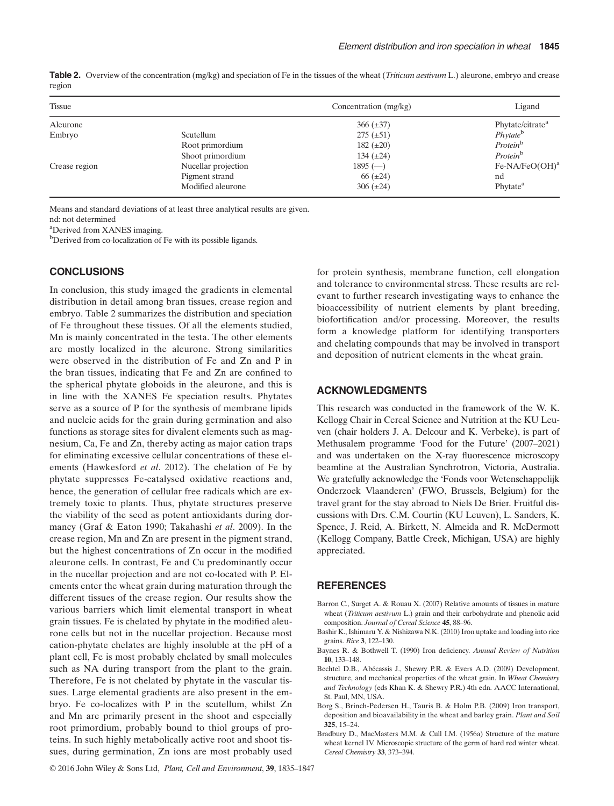|        | Table 2. Overview of the concentration (mg/kg) and speciation of Fe in the tissues of the wheat ( <i>Triticum aestivum</i> L.) aleurone, embryo and crease |
|--------|------------------------------------------------------------------------------------------------------------------------------------------------------------|
| region |                                                                                                                                                            |

| Tissue        |                     | Concentration (mg/kg) | Ligand                       |
|---------------|---------------------|-----------------------|------------------------------|
| Aleurone      |                     | $366 (\pm 37)$        | Phytate/citrate <sup>a</sup> |
| Embryo        | Scutellum           | $275 (\pm 51)$        | Phytate <sup>b</sup>         |
|               | Root primordium     | 182 $(\pm 20)$        | Protein <sup>b</sup>         |
|               | Shoot primordium    | 134 $(\pm 24)$        | Protein <sup>b</sup>         |
| Crease region | Nucellar projection | $1895$ (-             | Fe-NA/FeO(OH) <sup>a</sup>   |
|               | Pigment strand      | 66 $(\pm 24)$         | nd                           |
|               | Modified aleurone   | 306 $(\pm 24)$        | Phytate <sup>a</sup>         |

Means and standard deviations of at least three analytical results are given.

nd: not determined

a Derived from XANES imaging.

<sup>b</sup>Derived from co-localization of Fe with its possible ligands.

### **CONCLUSIONS**

In conclusion, this study imaged the gradients in elemental distribution in detail among bran tissues, crease region and embryo. Table 2 summarizes the distribution and speciation of Fe throughout these tissues. Of all the elements studied, Mn is mainly concentrated in the testa. The other elements are mostly localized in the aleurone. Strong similarities were observed in the distribution of Fe and Zn and P in the bran tissues, indicating that Fe and Zn are confined to the spherical phytate globoids in the aleurone, and this is in line with the XANES Fe speciation results. Phytates serve as a source of P for the synthesis of membrane lipids and nucleic acids for the grain during germination and also functions as storage sites for divalent elements such as magnesium, Ca, Fe and Zn, thereby acting as major cation traps for eliminating excessive cellular concentrations of these elements (Hawkesford et al. 2012). The chelation of Fe by phytate suppresses Fe-catalysed oxidative reactions and, hence, the generation of cellular free radicals which are extremely toxic to plants. Thus, phytate structures preserve the viability of the seed as potent antioxidants during dormancy (Graf & Eaton 1990; Takahashi et al. 2009). In the crease region, Mn and Zn are present in the pigment strand, but the highest concentrations of Zn occur in the modified aleurone cells. In contrast, Fe and Cu predominantly occur in the nucellar projection and are not co-located with P. Elements enter the wheat grain during maturation through the different tissues of the crease region. Our results show the various barriers which limit elemental transport in wheat grain tissues. Fe is chelated by phytate in the modified aleurone cells but not in the nucellar projection. Because most cation-phytate chelates are highly insoluble at the pH of a plant cell, Fe is most probably chelated by small molecules such as NA during transport from the plant to the grain. Therefore, Fe is not chelated by phytate in the vascular tissues. Large elemental gradients are also present in the embryo. Fe co-localizes with P in the scutellum, whilst Zn and Mn are primarily present in the shoot and especially root primordium, probably bound to thiol groups of proteins. In such highly metabolically active root and shoot tissues, during germination, Zn ions are most probably used

for protein synthesis, membrane function, cell elongation and tolerance to environmental stress. These results are relevant to further research investigating ways to enhance the bioaccessibility of nutrient elements by plant breeding, biofortification and/or processing. Moreover, the results form a knowledge platform for identifying transporters and chelating compounds that may be involved in transport and deposition of nutrient elements in the wheat grain.

#### ACKNOWLEDGMENTS

This research was conducted in the framework of the W. K. Kellogg Chair in Cereal Science and Nutrition at the KU Leuven (chair holders J. A. Delcour and K. Verbeke), is part of Methusalem programme 'Food for the Future' (2007–2021) and was undertaken on the X-ray fluorescence microscopy beamline at the Australian Synchrotron, Victoria, Australia. We gratefully acknowledge the 'Fonds voor Wetenschappelijk Onderzoek Vlaanderen' (FWO, Brussels, Belgium) for the travel grant for the stay abroad to Niels De Brier. Fruitful discussions with Drs. C.M. Courtin (KU Leuven), L. Sanders, K. Spence, J. Reid, A. Birkett, N. Almeida and R. McDermott (Kellogg Company, Battle Creek, Michigan, USA) are highly appreciated.

#### **REFERENCES**

- Barron C., Surget A. & Rouau X. (2007) Relative amounts of tissues in mature wheat (*Triticum aestivum L.*) grain and their carbohydrate and phenolic acid composition. Journal of Cereal Science 45, 88–96.
- Bashir K., Ishimaru Y. & Nishizawa N.K. (2010) Iron uptake and loading into rice grains. Rice 3, 122–130.
- Baynes R. & Bothwell T. (1990) Iron deficiency. Annual Review of Nutrition 10, 133–148.
- Bechtel D.B., Abécassis J., Shewry P.R. & Evers A.D. (2009) Development, structure, and mechanical properties of the wheat grain. In Wheat Chemistry and Technology (eds Khan K. & Shewry P.R.) 4th edn. AACC International, St. Paul, MN, USA.
- Borg S., Brinch-Pedersen H., Tauris B. & Holm P.B. (2009) Iron transport, deposition and bioavailability in the wheat and barley grain. Plant and Soil 325, 15–24.
- Bradbury D., MacMasters M.M. & Cull I.M. (1956a) Structure of the mature wheat kernel IV. Microscopic structure of the germ of hard red winter wheat. Cereal Chemistry 33, 373–394.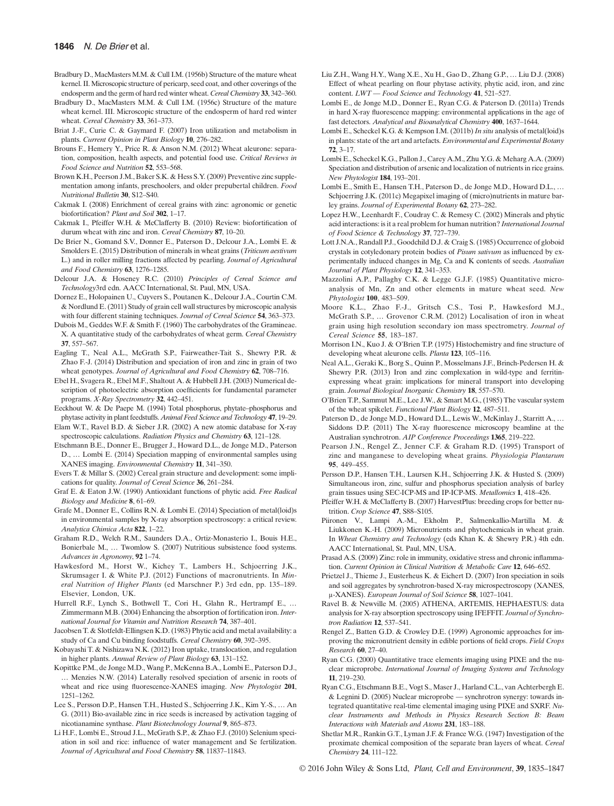- Bradbury D., MacMasters M.M. & Cull I.M. (1956b) Structure of the mature wheat kernel. II. Microscopic structure of pericarp, seed coat, and other coverings of the endosperm and the germ of hard red winter wheat. Cereal Chemistry 33, 342–360.
- Bradbury D., MacMasters M.M. & Cull I.M. (1956c) Structure of the mature wheat kernel. III. Microscopic structure of the endosperm of hard red winter wheat. Cereal Chemistry 33, 361–373.
- Briat J.-F., Curie C. & Gaymard F. (2007) Iron utilization and metabolism in plants. Current Opinion in Plant Biology 10, 276–282.
- Brouns F., Hemery Y., Price R. & Anson N.M. (2012) Wheat aleurone: separation, composition, health aspects, and potential food use. Critical Reviews in Food Science and Nutrition 52, 553–568.
- Brown K.H., Peerson J.M., Baker S.K. & Hess S.Y. (2009) Preventive zinc supplementation among infants, preschoolers, and older prepubertal children. Food Nutritional Bulletin 30, S12–S40.
- Cakmak I. (2008) Enrichment of cereal grains with zinc: agronomic or genetic biofortification? Plant and Soil 302, 1-17.
- Cakmak I., Pfeiffer W.H. & McClafferty B. (2010) Review: biofortification of durum wheat with zinc and iron. Cereal Chemistry 87, 10–20.
- De Brier N., Gomand S.V., Donner E., Paterson D., Delcour J.A., Lombi E. & Smolders E. (2015) Distribution of minerals in wheat grains (Triticum aestivum L.) and in roller milling fractions affected by pearling. Journal of Agricultural and Food Chemistry 63, 1276–1285.
- Delcour J.A. & Hoseney R.C. (2010) Principles of Cereal Science and Technology3rd edn. AACC International, St. Paul, MN, USA.
- Dornez E., Holopainen U., Cuyvers S., Poutanen K., Delcour J.A., Courtin C.M. & Nordlund E. (2011) Study of grain cell wall structures by microscopic analysis with four different staining techniques. Journal of Cereal Science 54, 363-373.
- Dubois M., Geddes W.F. & Smith F. (1960) The carbohydrates of the Gramineae. X. A quantitative study of the carbohydrates of wheat germ. Cereal Chemistry 37, 557–567.
- Eagling T., Neal A.L., McGrath S.P., Fairweather-Tait S., Shewry P.R. & Zhao F.-J. (2014) Distribution and speciation of iron and zinc in grain of two wheat genotypes. Journal of Agricultural and Food Chemistry 62, 708-716.
- Ebel H., Svagera R., Ebel M.F., Shaltout A. & Hubbell J.H. (2003) Numerical description of photoelectric absorption coefficients for fundamental parameter programs. X-Ray Spectrometry 32, 442–451.
- Eeckhout W. & De Paepe M. (1994) Total phosphorus, phytate–phosphorus and phytase activity in plant feedstuffs. Animal Feed Science and Technology 47, 19–29.
- Elam W.T., Ravel B.D. & Sieber J.R. (2002) A new atomic database for X-ray spectroscopic calculations. Radiation Physics and Chemistry 63, 121–128.
- Etschmann B.E., Donner E., Brugger J., Howard D.L., de Jonge M.D., Paterson D., … Lombi E. (2014) Speciation mapping of environmental samples using XANES imaging. Environmental Chemistry 11, 341–350.
- Evers T. & Millar S. (2002) Cereal grain structure and development: some implications for quality. Journal of Cereal Science 36, 261–284.
- Graf E. & Eaton J.W. (1990) Antioxidant functions of phytic acid. Free Radical Biology and Medicine 8, 61–69.
- Grafe M., Donner E., Collins R.N. & Lombi E. (2014) Speciation of metal(loid)s in environmental samples by X-ray absorption spectroscopy: a critical review. Analytica Chimica Acta 822, 1–22.
- Graham R.D., Welch R.M., Saunders D.A., Ortiz-Monasterio I., Bouis H.E., Bonierbale M., … Twomlow S. (2007) Nutritious subsistence food systems. Advances in Agronomy, 92 1–74.
- Hawkesford M., Horst W., Kichey T., Lambers H., Schjoerring J.K., Skrumsager I. & White P.J. (2012) Functions of macronutrients. In Mineral Nutrition of Higher Plants (ed Marschner P.) 3rd edn, pp. 135–189. Elsevier, London, UK.
- Hurrell R.F., Lynch S., Bothwell T., Cori H., Glahn R., Hertrampf E., … Zimmermann M.B. (2004) Enhancing the absorption of fortification iron. International Journal for Vitamin and Nutrition Research 74, 387–401.
- Jacobsen T. & Slotfeldt-Ellingsen K.D. (1983) Phytic acid and metal availability: a study of Ca and Cu binding foodstuffs. Cereal Chemistry 60, 392–395.
- Kobayashi T. & Nishizawa N.K. (2012) Iron uptake, translocation, and regulation in higher plants. Annual Review of Plant Biology 63, 131–152.
- Kopittke P.M., de Jonge M.D., Wang P., McKenna B.A., Lombi E., Paterson D.J., … Menzies N.W. (2014) Laterally resolved speciation of arsenic in roots of wheat and rice using fluorescence-XANES imaging. New Phytologist 201, 1251–1262.
- Lee S., Persson D.P., Hansen T.H., Husted S., Schjoerring J.K., Kim Y.-S., … An G. (2011) Bio-available zinc in rice seeds is increased by activation tagging of nicotianamine synthase. Plant Biotechnology Journal 9, 865–873.
- Li H.F., Lombi E., Stroud J.L., McGrath S.P., & Zhao F.J. (2010) Selenium speciation in soil and rice: influence of water management and Se fertilization. Journal of Agricultural and Food Chemistry 58, 11837–11843.
- Liu Z.H., Wang H.Y., Wang X.E., Xu H., Gao D., Zhang G.P., … Liu D.J. (2008) Effect of wheat pearling on flour phytase activity, phytic acid, iron, and zinc content. LWT - Food Science and Technology 41, 521-527.
- Lombi E., de Jonge M.D., Donner E., Ryan C.G. & Paterson D. (2011a) Trends in hard X-ray fluorescence mapping: environmental applications in the age of fast detectors. Analytical and Bioanalytical Chemistry 400, 1637–1644.
- Lombi E., Scheckel K.G. & Kempson I.M. (2011b) In situ analysis of metal(loid)s in plants: state of the art and artefacts. Environmental and Experimental Botany 72, 3–17.
- Lombi E., Scheckel K.G., Pallon J., Carey A.M., Zhu Y.G. & Meharg A.A. (2009) Speciation and distribution of arsenic and localization of nutrients in rice grains. New Phytologist 184, 193–201.
- Lombi E., Smith E., Hansen T.H., Paterson D., de Jonge M.D., Howard D.L., … Schjoerring J.K. (2011c) Megapixel imaging of (micro)nutrients in mature barley grains. Journal of Experimental Botany 62, 273–282.
- Lopez H.W., Leenhardt F., Coudray C. & Remesy C. (2002) Minerals and phytic acid interactions: is it a real problem for human nutrition? International Journal of Food Science & Technology 37, 727–739.
- Lott J.N.A., Randall P.J., Goodchild D.J. & Craig S. (1985) Occurrence of globoid crystals in cotyledonary protein bodies of Pisum sativum as influenced by experimentally induced changes in Mg, Ca and K contents of seeds. Australian Journal of Plant Physiology 12, 341–353.
- Mazzolini A.P., Pallaghy C.K. & Legge G.J.F. (1985) Quantitative microanalysis of Mn, Zn and other elements in mature wheat seed. New Phytologist 100, 483–509.
- Moore K.L., Zhao F.-J., Gritsch C.S., Tosi P., Hawkesford M.J., McGrath S.P., … Grovenor C.R.M. (2012) Localisation of iron in wheat grain using high resolution secondary ion mass spectrometry. Journal of Cereal Science 55, 183–187.
- Morrison I.N., Kuo J. & O'Brien T.P. (1975) Histochemistry and fine structure of developing wheat aleurone cells. Planta 123, 105-116.
- Neal A.L., Geraki K., Borg S., Quinn P., Mosselmans J.F., Brinch-Pedersen H. & Shewry P.R. (2013) Iron and zinc complexation in wild-type and ferritinexpressing wheat grain: implications for mineral transport into developing grain. Journal Biological Inorganic Chemistry 18, 557–570.
- O'Brien T.P., Sammut M.E., Lee J.W., & Smart M.G., (1985) The vascular system of the wheat spikelet. Functional Plant Biology 12, 487–511.
- Paterson D., de Jonge M.D., Howard D.L., Lewis W., McKinlay J., Starritt A., … Siddons D.P. (2011) The X-ray fluorescence microscopy beamline at the Australian synchrotron. AIP Conference Proceedings 1365, 219–222.
- Pearson J.N., Rengel Z., Jenner C.F. & Graham R.D. (1995) Transport of zinc and manganese to developing wheat grains. Physiologia Plantarum 95, 449–455.
- Persson D.P., Hansen T.H., Laursen K.H., Schjoerring J.K. & Husted S. (2009) Simultaneous iron, zinc, sulfur and phosphorus speciation analysis of barley grain tissues using SEC-ICP-MS and IP-ICP-MS. Metallomics 1, 418–426.
- Pfeiffer W.H. & McClafferty B. (2007) HarvestPlus: breeding crops for better nutrition. Crop Science 47, S88–S105.
- Piironen V., Lampi A.-M., Ekholm P., Salmenkallio-Martilla M. & Liukkonen K.-H. (2009) Micronutrients and phytochemicals in wheat grain. In Wheat Chemistry and Technology (eds Khan K. & Shewry P.R.) 4th edn. AACC International, St. Paul, MN, USA.
- Prasad A.S. (2009) Zinc: role in immunity, oxidative stress and chronic inflammation. Current Opinion in Clinical Nutrition & Metabolic Care 12, 646–652.
- Prietzel J., Thieme J., Eusterheus K. & Eichert D. (2007) Iron speciation in soils and soil aggregates by synchrotron-based X-ray microspectroscopy (XANES, μ-XANES). European Journal of Soil Science 58, 1027–1041.
- Ravel B. & Newville M. (2005) ATHENA, ARTEMIS, HEPHAESTUS: data analysis for X-ray absorption spectroscopy using IFEFFIT. Journal of Synchrotron Radiation 12, 537-541.
- Rengel Z., Batten G.D. & Crowley D.E. (1999) Agronomic approaches for improving the micronutrient density in edible portions of field crops. Field Crops Research 60, 27–40.
- Ryan C.G. (2000) Quantitative trace elements imaging using PIXE and the nuclear microprobe. International Journal of Imaging Systems and Technology 11, 219–230.
- Ryan C.G., Etschmann B.E., Vogt S., Maser J., Harland C.L., van Achterbergh E. & Legnini D. (2005) Nuclear microprobe — synchrotron synergy: towards integrated quantitative real-time elemental imaging using PIXE and SXRF. Nuclear Instruments and Methods in Physics Research Section B: Beam Interactions with Materials and Atoms 231, 183–188.
- Shetlar M.R., Rankin G.T., Lyman J.F. & France W.G. (1947) Investigation of the proximate chemical composition of the separate bran layers of wheat. Cereal Chemistry 24, 111–122.